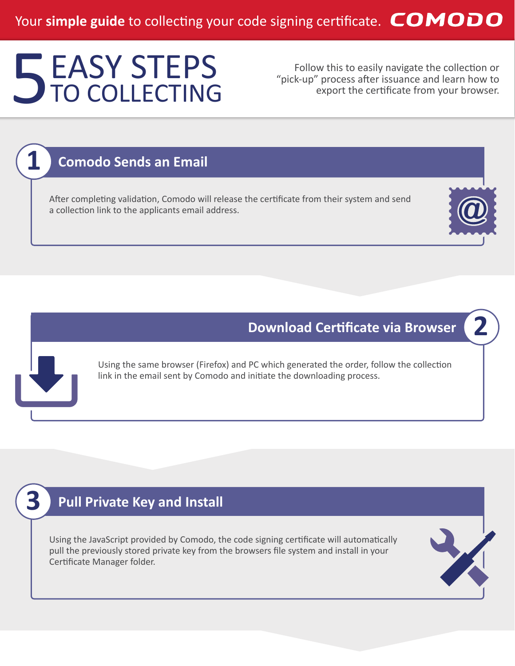# EASY STEPS Follow this to easily navigate the collection or "pick-up" process after issuance and learn how to export the certificate from your browser. EASY STEPS TO COLLECTING

"pick-up" process after issuance and learn how to export the certificate from your browser.

### **Comodo Sends an Email**

**1**

**3**

After completing validation, Comodo will release the certificate from their system and send a collection link to the applicants email address.



**2**

### **Download Certificate via Browser**

Using the same browser (Firefox) and PC which generated the order, follow the collection link in the email sent by Comodo and initiate the downloading process.

# **Pull Private Key and Install**

Using the JavaScript provided by Comodo, the code signing certificate will automatically pull the previously stored private key from the browsers file system and install in your Certificate Manager folder.

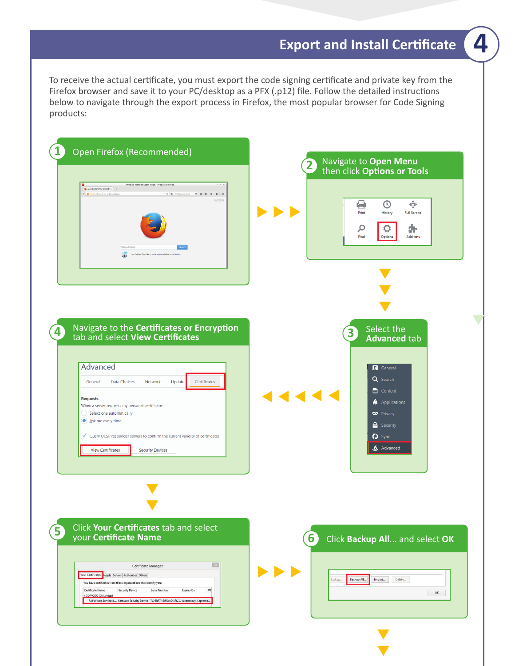# **Export and Install Certificate**

To receive the actual certificate, you must export the code signing certificate and private key from the Firefox browser and save it to your PC/desktop as a PFX (.p12) file. Follow the detailed instructions below to navigate through the export process in Firefox, the most popular browser for Code Signing products:



**4**